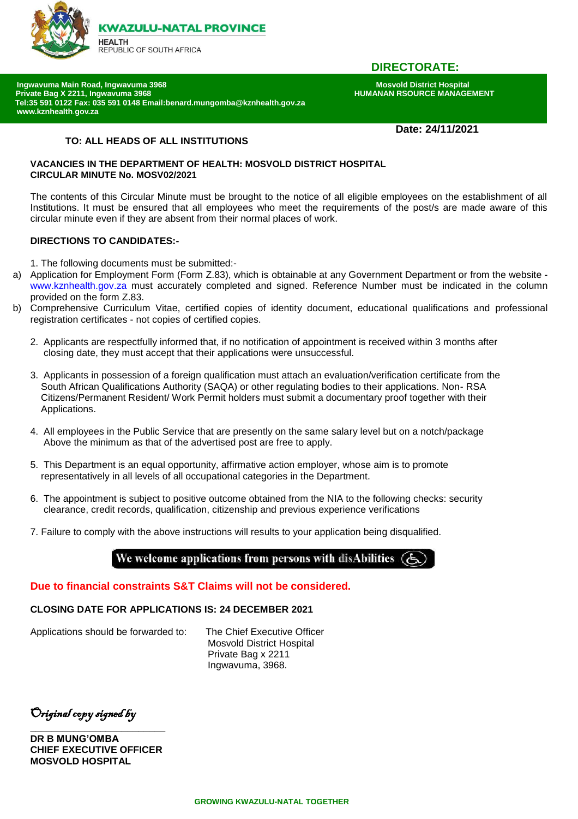

# **DIRECTORATE:**

 **Ingwavuma Main Road, Ingwavuma 3968 Mosvold District Hospital Private Bag X 2211, Ingwavuma 3968** T **Tel:35 591 0122 Fax: 035 591 0148 Email:benard.mungomba@kznhealth.gov.za www.kznhealth**.**gov.za** 

## **Date: 24/11/2021**

## **TO: ALL HEADS OF ALL INSTITUTIONS**

### **VACANCIES IN THE DEPARTMENT OF HEALTH: MOSVOLD DISTRICT HOSPITAL CIRCULAR MINUTE No. MOSV02/2021**

The contents of this Circular Minute must be brought to the notice of all eligible employees on the establishment of all Institutions. It must be ensured that all employees who meet the requirements of the post/s are made aware of this circular minute even if they are absent from their normal places of work.

### **DIRECTIONS TO CANDIDATES:-**

1. The following documents must be submitted:-

- a) Application for Employment Form (Form Z.83), which is obtainable at any Government Department or from the website www.kznhealth.gov.za must accurately completed and signed. Reference Number must be indicated in the column provided on the form Z.83.
- b) Comprehensive Curriculum Vitae, certified copies of identity document, educational qualifications and professional registration certificates - not copies of certified copies.
	- 2. Applicants are respectfully informed that, if no notification of appointment is received within 3 months after closing date, they must accept that their applications were unsuccessful.
	- 3. Applicants in possession of a foreign qualification must attach an evaluation/verification certificate from the South African Qualifications Authority (SAQA) or other regulating bodies to their applications. Non- RSA Citizens/Permanent Resident/ Work Permit holders must submit a documentary proof together with their Applications.
	- 4. All employees in the Public Service that are presently on the same salary level but on a notch/package Above the minimum as that of the advertised post are free to apply.
	- 5. This Department is an equal opportunity, affirmative action employer, whose aim is to promote representatively in all levels of all occupational categories in the Department.
	- 6. The appointment is subject to positive outcome obtained from the NIA to the following checks: security clearance, credit records, qualification, citizenship and previous experience verifications
	- 7. Failure to comply with the above instructions will results to your application being disqualified.

# We welcome applications from persons with disAbilities

## **Due to financial constraints S&T Claims will not be considered.**

### **CLOSING DATE FOR APPLICATIONS IS: 24 DECEMBER 2021**

Applications should be forwarded to: The Chief Executive Officer

Mosvold District Hospital Private Bag x 2211 Ingwavuma, 3968.

Original copy signed by

**DR B MUNG'OMBA CHIEF EXECUTIVE OFFICER MOSVOLD HOSPITAL**

**\_\_\_\_\_\_\_\_\_\_\_\_\_\_\_\_\_\_\_\_\_\_\_\_\_**